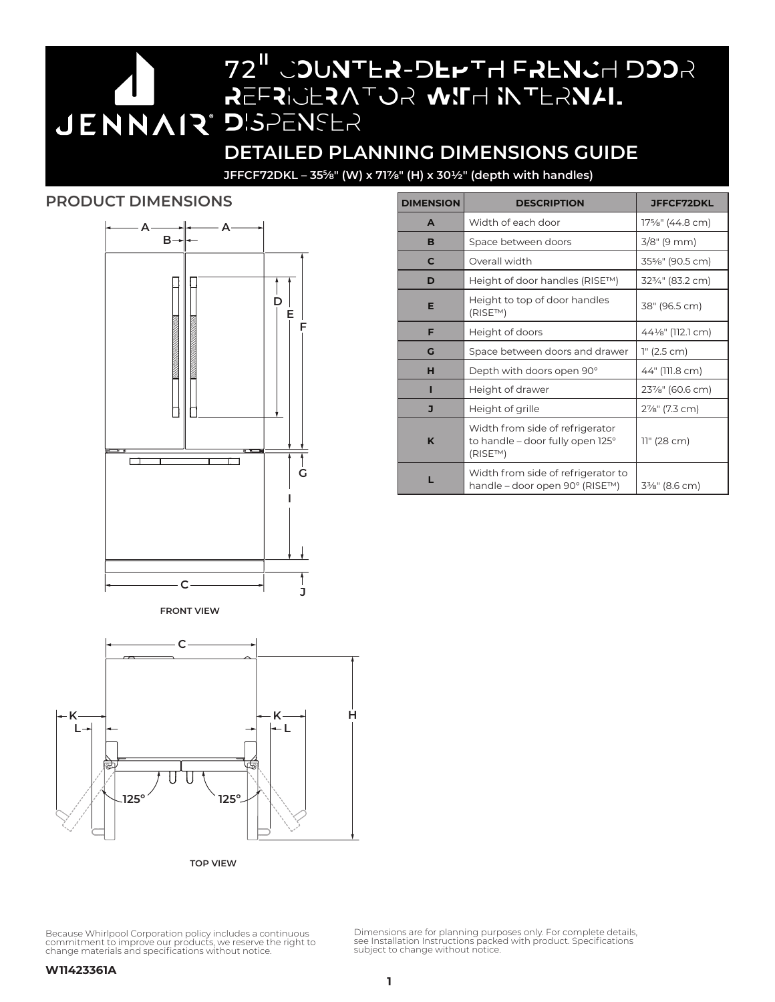# **DETAILED PLANNING DIMENSIONS GUIDE**

REFRIGERATOR WITH INTERNAL

72" COUNTER-DEPTH FRENCH DOOR

**JFFCF72DKL – 355⁄8" (W) x 717/8" (H) x 301/2" (depth with handles)**

DISPENSER

## **PRODUCT DIMENSIONS**



| <b>DIMENSION</b> | <b>DESCRIPTION</b>                                                                   | <b>JFFCF72DKL</b> |
|------------------|--------------------------------------------------------------------------------------|-------------------|
| A                | Width of each door                                                                   | 17%" (44.8 cm)    |
| в                | Space between doors                                                                  | $3/8$ " (9 mm)    |
| C                | Overall width                                                                        | 35%" (90.5 cm)    |
| D                | Height of door handles (RISE™)                                                       | 323/4" (83.2 cm)  |
| Е                | Height to top of door handles<br>(RISE™)                                             | 38" (96.5 cm)     |
| F                | Height of doors                                                                      | 441/8" (112.1 cm) |
| G                | Space between doors and drawer                                                       | 1" (2.5 cm)       |
| н                | Depth with doors open 90°                                                            | 44" (111.8 cm)    |
| ı                | Height of drawer                                                                     | 23%" (60.6 cm)    |
| J                | Height of grille                                                                     | 2%" (7.3 cm)      |
| K                | Width from side of refrigerator<br>to handle - door fully open 125°<br>$(RISE^{TM})$ | 11" (28 cm)       |
|                  | Width from side of refrigerator to<br>handle – door open 90° (RISE™)                 | 3%" (8.6 cm)      |

**FRONT VIEW**



**TOP VIEW**

Because Whirlpool Corporation policy includes a continuous<br>commitment to improve our products, we reserve the right to<br>change materials and specifications without notice.

Dimensions are for planning purposes only. For complete details, see Installation Instructions packed with product. Specifications subject to change without notice.

#### **W11423361A**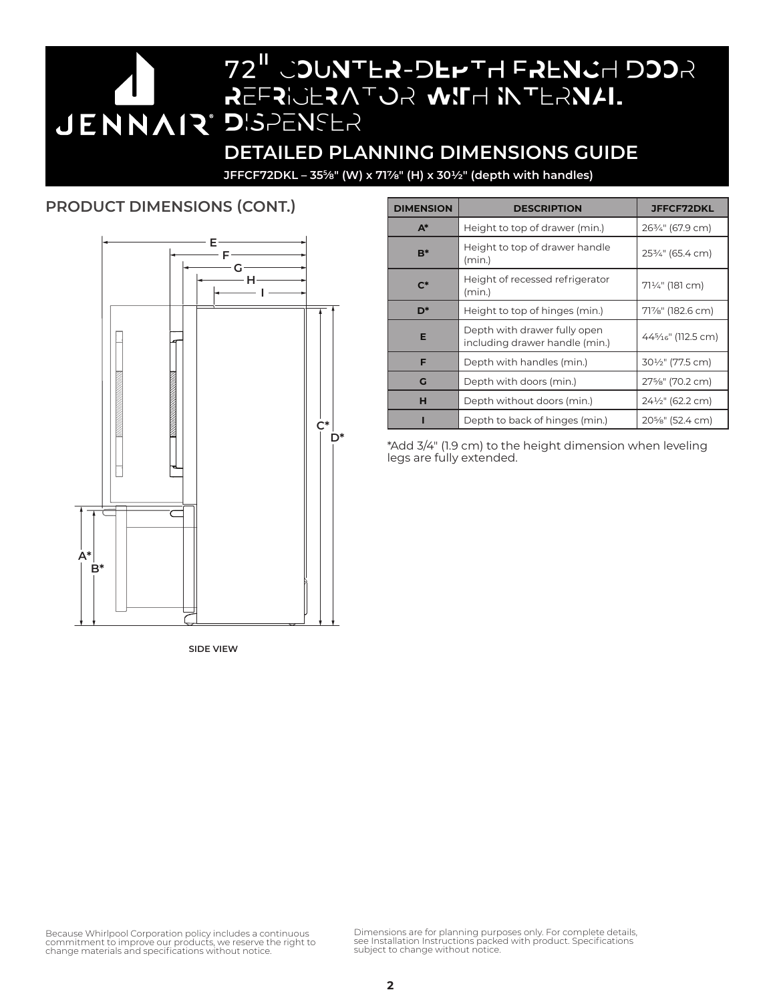72" COUNTER-DEPTH FRENCH DOOR REFRIGERATOR WITH INTERNAL DISPENSER **DETAILED PLANNING DIMENSIONS GUIDE**

**JFFCF72DKL – 355⁄8" (W) x 717/8" (H) x 301/2" (depth with handles)**

# **PRODUCT DIMENSIONS (CONT.)**



**SIDE VIEW**

| <b>DIMENSION</b> | <b>DESCRIPTION</b>                                             | <b>JFFCF72DKL</b>               |
|------------------|----------------------------------------------------------------|---------------------------------|
| $A^*$            | Height to top of drawer (min.)                                 | 263/4" (67.9 cm)                |
| $B^*$            | Height to top of drawer handle<br>(min.)                       | 253/4" (65.4 cm)                |
| $\mathsf{C}^*$   | Height of recessed refrigerator<br>(min.)                      | 71¼" (181 cm)                   |
| D*               | Height to top of hinges (min.)                                 | 71%" (182.6 cm)                 |
| Е                | Depth with drawer fully open<br>including drawer handle (min.) | 445/ <sub>16</sub> " (112.5 cm) |
| F                | Depth with handles (min.)                                      | 30½" (77.5 cm)                  |
| G                | Depth with doors (min.)                                        | 27%" (70.2 cm)                  |
| н                | Depth without doors (min.)                                     | 24½" (62.2 cm)                  |
|                  | Depth to back of hinges (min.)                                 | 20%" (52.4 cm)                  |

\*Add 3/4" (1.9 cm) to the height dimension when leveling legs are fully extended.

Because Whirlpool Corporation policy includes a continuous<br>commitment to improve our products, we reserve the right to<br>change materials and specifications without notice.

Dimensions are for planning purposes only. For complete details, see Installation Instructions packed with product. Specifications subject to change without notice.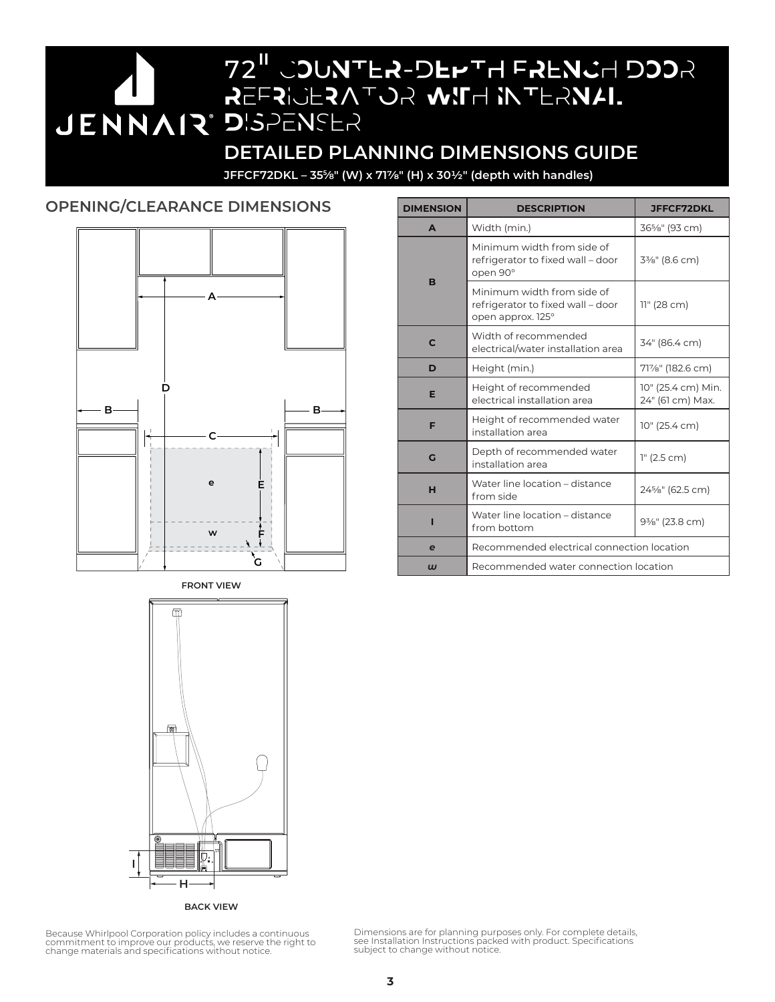72" COUNTER-DEPTH FRENCH DOOR REFRIGERATOR WITH INTERNAL **JENNAIR DISPENSER DETAILED PLANNING DIMENSIONS GUIDE**

**JFFCF72DKL – 355⁄8" (W) x 717/8" (H) x 301/2" (depth with handles)**

## **OPENING/CLEARANCE DIMENSIONS DIMENSION DESCRIPTION DESCRIPTION**



**A** Width (min.) 36<sup>5</sup>/8" (93 cm) **B**  Minimum width from side of refrigerator to fixed wall – door open 90° 33/8" (8.6 cm) Minimum width from side of refrigerator to fixed wall – door open approx. 125° 11" (28 cm) **C** Width of recommended electrical/water installation area 34" (86.4 cm) **D** Height (min.) 71%" (182.6 cm) **E** Height of recommended electrical installation area 10" (25.4 cm) Min. 24" (61 cm) Max. **F** Height of recommended water installation area 10" (25.4 cm) **G** Depth of recommended water Depth of recommended water<br>installation area **H** Water line location – distance<br>from side 245/8" (62.5 cm) **I** Water line location – distance  $\left[\right]$  from bottom  $\left[9\% \right]$  (23.8 cm) **e** Recommended electrical connection location *w* Recommended water connection location



**BACK VIEW**

Because Whirlpool Corporation policy includes a continuous commitment to improve our products, we reserve the right to change materials and specifications without notice. Dimensions are for planning purposes only. For complete details, see Installation Instructions packed with product. Specifications subject to change without notice.